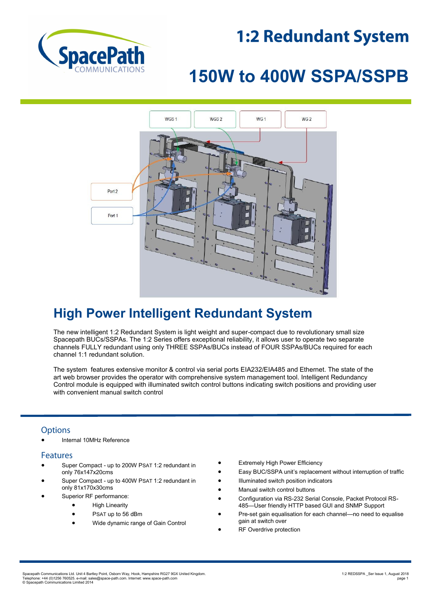## **1:2 Redundant System**



# **150W to 400W SSPA/SSPB**



## **High Power Intelligent Redundant System**

The new intelligent 1:2 Redundant System is light weight and super-compact due to revolutionary small size Spacepath BUCs/SSPAs. The 1:2 Series offers exceptional reliability, it allows user to operate two separate channels FULLY redundant using only THREE SSPAs/BUCs instead of FOUR SSPAs/BUCs required for each channel 1:1 redundant solution.

The system features extensive monitor & control via serial ports EIA232/EIA485 and Ethernet. The state of the art web browser provides the operator with comprehensive system management tool. Intelligent Redundancy Control module is equipped with illuminated switch control buttons indicating switch positions and providing user with convenient manual switch control

### **Options**

Internal 10MHz Reference

#### **Features**

- Super Compact up to 200W PSAT 1:2 redundant in only 76x147x20cms
- Super Compact up to 400W PSAT 1:2 redundant in only 81x170x30cms
- Superior RF performance:
	- **•** High Linearity
		- PSAT up to 56 dBm
		- Wide dynamic range of Gain Control
- Extremely High Power Efficiency
- Easy BUC/SSPA unit's replacement without interruption of traffic
- Illuminated switch position indicators
- Manual switch control buttons
- Configuration via RS-232 Serial Console, Packet Protocol RS-485—User friendly HTTP based GUI and SNMP Support
- Pre-set gain equalisation for each channel—no need to equalise gain at switch over
- RF Overdrive protection